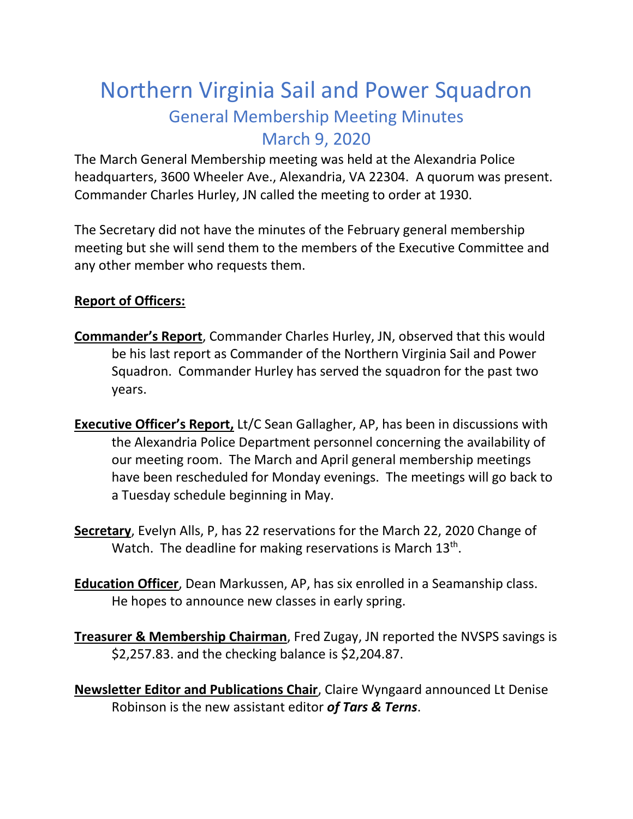## Northern Virginia Sail and Power Squadron General Membership Meeting Minutes March 9, 2020

The March General Membership meeting was held at the Alexandria Police headquarters, 3600 Wheeler Ave., Alexandria, VA 22304. A quorum was present. Commander Charles Hurley, JN called the meeting to order at 1930.

The Secretary did not have the minutes of the February general membership meeting but she will send them to the members of the Executive Committee and any other member who requests them.

## **Report of Officers:**

- **Commander's Report**, Commander Charles Hurley, JN, observed that this would be his last report as Commander of the Northern Virginia Sail and Power Squadron. Commander Hurley has served the squadron for the past two years.
- **Executive Officer's Report,** Lt/C Sean Gallagher, AP, has been in discussions with the Alexandria Police Department personnel concerning the availability of our meeting room. The March and April general membership meetings have been rescheduled for Monday evenings. The meetings will go back to a Tuesday schedule beginning in May.
- **Secretary**, Evelyn Alls, P, has 22 reservations for the March 22, 2020 Change of Watch. The deadline for making reservations is March 13<sup>th</sup>.
- **Education Officer**, Dean Markussen, AP, has six enrolled in a Seamanship class. He hopes to announce new classes in early spring.
- **Treasurer & Membership Chairman**, Fred Zugay, JN reported the NVSPS savings is \$2,257.83. and the checking balance is \$2,204.87.

**Newsletter Editor and Publications Chair**, Claire Wyngaard announced Lt Denise Robinson is the new assistant editor *of Tars & Terns*.